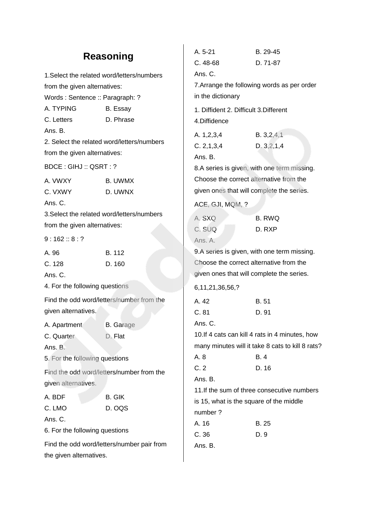# **Reasoning**

1.Select the related word/letters/numbers from the given alternatives: Words : Sentence :: Paragraph: ? A. TYPING B. Essay C. Letters D. Phrase Ans. B. 2. Select the related word/letters/numbers from the given alternatives: BDCE : GIHJ :: QSRT : ? A. VWXY B. UWMX C. VXWY D. UWNX Ans. C. 3.Select the related word/letters/numbers from the given alternatives:  $9:162::8:?$ A. 96 B. 112 C. 128 D. 160 Ans. C. 4. For the following questions Find the odd word/letters/number from the given alternatives. A. Apartment B. Garage C. Quarter D. Flat Ans. B. 5. For the following questions Find the odd word/letters/number from the given alternatives. A. BDF B. GIK C. LMO D. OQS Ans. C. 6. For the following questions Find the odd word/letters/number pair from Ans. C. in the dictionary 4.Diffidence Ans. B. ACE, GJI, MQM, ? Ans. A. 6,11,21,36,56,? Ans. C. Ans. B. number ? Ans. B.

the given alternatives.

| A. 5-21                                   | B. 29-45                                         |
|-------------------------------------------|--------------------------------------------------|
| C. 48-68                                  | D. 71-87                                         |
| Ans. C.                                   |                                                  |
|                                           | 7. Arrange the following words as per order      |
| in the dictionary                         |                                                  |
| 1. Diffident 2. Difficult 3. Different    |                                                  |
| 4.Diffidence                              |                                                  |
| A. 1,2,3,4                                | B. 3, 2, 4, 1                                    |
| C. 2, 1, 3, 4                             | D. 3, 2, 1, 4                                    |
| Ans. B.                                   |                                                  |
|                                           | 8.A series is given, with one term missing.      |
| Choose the correct alternative from the   |                                                  |
| given ones that will complete the series. |                                                  |
| ACE, GJI, MQM, ?                          |                                                  |
| A. SXQ                                    | <b>B. RWQ</b>                                    |
| C. SUQ                                    | D. RXP                                           |
| Ans. A.                                   |                                                  |
|                                           | 9.A series is given, with one term missing.      |
| Choose the correct alternative from the   |                                                  |
| given ones that will complete the series. |                                                  |
| 6, 11, 21, 36, 56, ?                      |                                                  |
| A. 42                                     | B.51                                             |
| C.81                                      | D. 91                                            |
| Ans. C.                                   |                                                  |
|                                           | 10. If 4 cats can kill 4 rats in 4 minutes, how  |
|                                           | many minutes will it take 8 cats to kill 8 rats? |
| A. 8                                      | B.4                                              |
| C.2                                       | D. 16                                            |
| Ans. B.                                   |                                                  |
|                                           | 11. If the sum of three consecutive numbers      |
| is 15, what is the square of the middle   |                                                  |
| number?                                   |                                                  |
| A. 16                                     | B. 25                                            |
| C.36                                      | D. 9                                             |
|                                           |                                                  |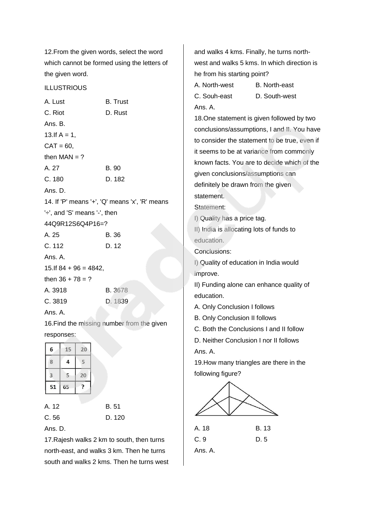12.From the given words, select the word which cannot be formed using the letters of the given word.

#### **ILLUSTRIOUS**

| A. Lust                      | <b>B.</b> Trust                                |
|------------------------------|------------------------------------------------|
| C. Riot                      | D. Rust                                        |
| Ans. B.                      |                                                |
| 13.If $A = 1$ ,              |                                                |
| $CAT = 60,$                  |                                                |
| then $MAN = ?$               |                                                |
| A. 27                        | <b>B.</b> 90                                   |
| C.180                        | D. 182                                         |
| Ans. D.                      |                                                |
|                              | 14. If 'P' means '+', 'Q' means 'x', 'R' means |
| '÷', and 'S' means '-', then |                                                |
| 44Q9R12S6Q4P16=?             |                                                |
| A. 25                        | <b>B.36</b>                                    |
| C. 112                       | D. 12                                          |
| Ans. A.                      |                                                |
| 15. If $84 + 96 = 4842$ ,    |                                                |
| then $36 + 78 = ?$           |                                                |
| A. 3918                      | <b>B.</b> 3678                                 |
| C. 3819                      | D. 1839                                        |
| Ans. A.                      |                                                |

16.Find the missing number from the given responses:

| 6  | 15 | 20 |
|----|----|----|
| 8  | 4  | 5  |
| 3  | 5  | 20 |
| 51 | 65 | 2  |

A. 12 B. 51 C. 56 D. 120 Ans. D.

17.Rajesh walks 2 km to south, then turns north-east, and walks 3 km. Then he turns south and walks 2 kms. Then he turns west and walks 4 kms. Finally, he turns northwest and walks 5 kms. In which direction is he from his starting point? A. North-west B. North-east C. Souh-east D. South-west Ans. A. 18.One statement is given followed by two conclusions/assumptions, I and II. You have to consider the statement to be true, even if it seems to be at variance from commonly known facts. You are to decide which of the given conclusions/assumptions can definitely be drawn from the given statement. Statement: I) Quality has a price tag. II) India is allocating lots of funds to education. Conclusions: I) Quality of education in India would improve. II) Funding alone can enhance quality of education. A. Only Conclusion I follows B. Only Conclusion II follows C. Both the Conclusions I and II follow D. Neither Conclusion I nor II follows Ans. A. 19.How many triangles are there in the following figure?



| C.9     | D. 5 |
|---------|------|
| Ans. A. |      |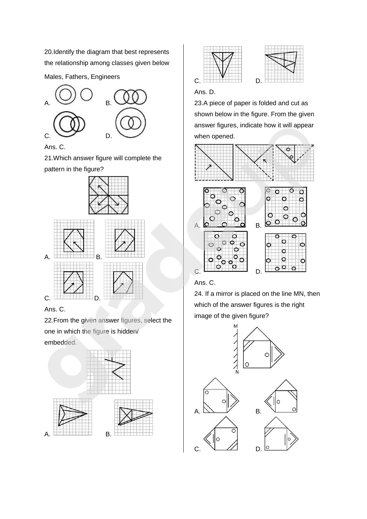20.Identify the diagram that best represents the relationship among classes given below

Males, Fathers, Engineers



Ans. C.

21.Which answer figure will complete the pattern in the figure?



### Ans. C.

22.From the given answer figures, select the one in which the figure is hidden/ embedded.







### Ans. D.

23.A piece of paper is folded and cut as shown below in the figure. From the given answer figures, indicate how it will appear when opened.



### Ans. C.

24. If a mirror is placed on the line MN, then which of the answer figures is the right image of the given figure?

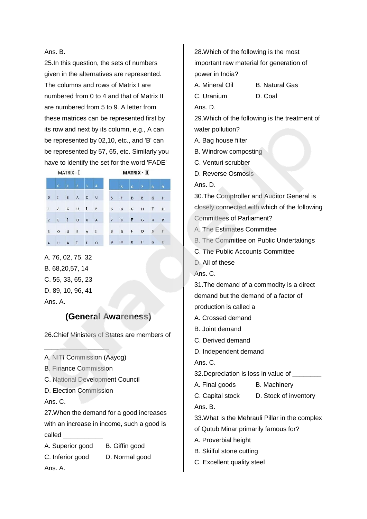#### Ans. B.

25.In this question, the sets of numbers given in the alternatives are represented. The columns and rows of Matrix I are numbered from 0 to 4 and that of Matrix II are numbered from 5 to 9. A letter from these matrices can be represented first by its row and next by its column, e.g., A can be represented by 02,10, etc., and 'B' can be represented by 57, 65, etc. Similarly you have to identify the set for the word 'FADE'

MATRIX - I MATRIX - II  $0 \qquad I \qquad E \qquad A \qquad 0 \qquad U$ 5 F D B G H 1 A O U I E 6 B G H F D  $2 E I O U A$ 7 D F G H  $\mathbf{B}$  $D$   $B$   $F$  $3$  O U E A I  $H$  $8$  $\mathsf{G}$  $F$  G D 4 U A I E O  $9$  H B

A. 76, 02, 75, 32 B. 68,20,57, 14 C. 55, 33, 65, 23 D. 89, 10, 96, 41 Ans. A.

### **(General Awareness)**

26.Chief Ministers of States are members of

A. NITI Commission (Aayog)

B. Finance Commission

 $\frac{1}{2}$  ,  $\frac{1}{2}$  ,  $\frac{1}{2}$  ,  $\frac{1}{2}$  ,  $\frac{1}{2}$  ,  $\frac{1}{2}$  ,  $\frac{1}{2}$ 

- C. National Development Council
- D. Election Commission

Ans. C.

27.When the demand for a good increases with an increase in income, such a good is called

A. Superior good B. Giffin good C. Inferior good D. Normal good Ans. A.

28.Which of the following is the most important raw material for generation of power in India? A. Mineral Oil B. Natural Gas C. Uranium D. Coal Ans. D. 29.Which of the following is the treatment of water pollution? A. Bag house filter B. Windrow composting C. Venturi scrubber D. Reverse Osmosis Ans. D. 30.The Comptroller and Auditor General is closely connected with which of the following Committees of Parliament? A. The Estimates Committee B. The Committee on Public Undertakings C. The Public Accounts Committee D. All of these Ans. C. 31.The demand of a commodity is a direct demand but the demand of a factor of production is called a A. Crossed demand B. Joint demand C. Derived demand D. Independent demand Ans. C. 32. Depreciation is loss in value of A. Final goods B. Machinery C. Capital stock D. Stock of inventory Ans. B. 33.What is the Mehrauli Pillar in the complex of Qutub Minar primarily famous for? A. Proverbial height B. Skilful stone cutting

C. Excellent quality steel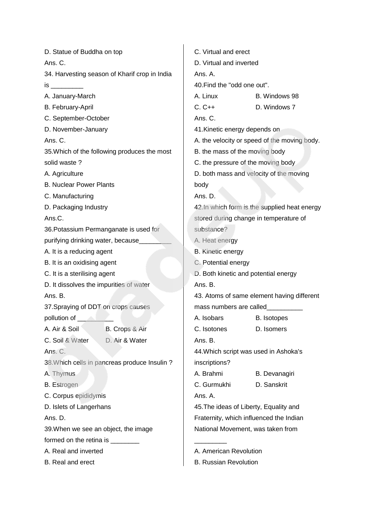| D. Statue of Buddha on top                    | C. Virtual and erect                         |  |  |
|-----------------------------------------------|----------------------------------------------|--|--|
| Ans. C.                                       | D. Virtual and inverted                      |  |  |
| 34. Harvesting season of Kharif crop in India | Ans. A.                                      |  |  |
|                                               | 40. Find the "odd one out".                  |  |  |
| A. January-March                              | A. Linux<br>B. Windows 98                    |  |  |
| B. February-April                             | $C. C++$<br>D. Windows 7                     |  |  |
| C. September-October                          | Ans. C.                                      |  |  |
| D. November-January                           | 41. Kinetic energy depends on                |  |  |
| Ans. C.                                       | A. the velocity or speed of the moving body. |  |  |
| 35. Which of the following produces the most  | B. the mass of the moving body               |  |  |
| solid waste?                                  | C. the pressure of the moving body           |  |  |
| A. Agriculture                                | D. both mass and velocity of the moving      |  |  |
| <b>B. Nuclear Power Plants</b>                | body                                         |  |  |
| C. Manufacturing                              | Ans. D.                                      |  |  |
| D. Packaging Industry                         | 42.In which form is the supplied heat energy |  |  |
| Ans.C.                                        | stored during change in temperature of       |  |  |
| 36. Potassium Permanganate is used for        | substance?                                   |  |  |
| purifying drinking water, because____         | A. Heat energy                               |  |  |
| A. It is a reducing agent                     | <b>B.</b> Kinetic energy                     |  |  |
| B. It is an oxidising agent                   | C. Potential energy                          |  |  |
| C. It is a sterilising agent                  | D. Both kinetic and potential energy         |  |  |
| D. It dissolves the impurities of water       | Ans. B.                                      |  |  |
| Ans. B.                                       | 43. Atoms of same element having different   |  |  |
| 37. Spraying of DDT on crops causes           | mass numbers are called                      |  |  |
| pollution of <b>contract of</b>               | A. Isobars<br><b>B.</b> Isotopes             |  |  |
| A. Air & Soil<br>B. Crops & Air               | C. Isotones<br>D. Isomers                    |  |  |
| C. Soil & Water<br>D. Air & Water             | Ans. B.                                      |  |  |
| Ans. C.                                       | 44. Which script was used in Ashoka's        |  |  |
| 38. Which cells in pancreas produce Insulin ? | inscriptions?                                |  |  |
| A. Thymus                                     | A. Brahmi<br>B. Devanagiri                   |  |  |
| <b>B.</b> Estrogen                            | C. Gurmukhi<br>D. Sanskrit                   |  |  |
| C. Corpus epididymis                          | Ans. A.                                      |  |  |
| D. Islets of Langerhans                       | 45. The ideas of Liberty, Equality and       |  |  |
| Ans. D.                                       | Fraternity, which influenced the Indian      |  |  |
| 39. When we see an object, the image          | National Movement, was taken from            |  |  |
| formed on the retina is _________             |                                              |  |  |
| A. Real and inverted                          | A. American Revolution                       |  |  |
| B. Real and erect                             | <b>B. Russian Revolution</b>                 |  |  |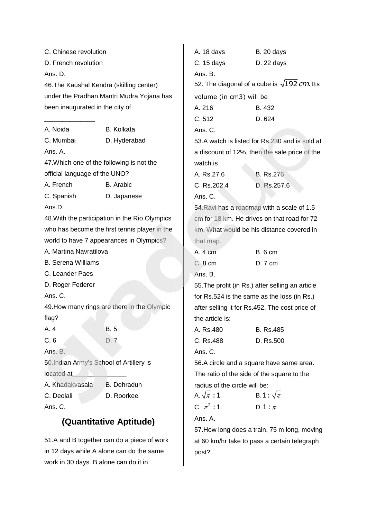| C. Chinese revolution                     |                                                | A. 18 days                                         | <b>B.</b> 20 days                              |
|-------------------------------------------|------------------------------------------------|----------------------------------------------------|------------------------------------------------|
| D. French revolution                      |                                                | $C. 15 \, days$                                    | D. 22 days                                     |
| Ans. D.                                   |                                                | Ans. B.                                            |                                                |
| 46. The Kaushal Kendra (skilling center)  |                                                | 52. The diagonal of a cube is $\sqrt{192}$ cm. Its |                                                |
|                                           | under the Pradhan Mantri Mudra Yojana has      | volume (in cm3) will be                            |                                                |
| been inaugurated in the city of           |                                                | A. 216                                             | B. 432                                         |
|                                           |                                                | C.512                                              | D. 624                                         |
| A. Noida                                  | <b>B.</b> Kolkata                              | Ans. C.                                            |                                                |
| C. Mumbai                                 | D. Hyderabad                                   | 53.A watch is listed for Rs.230 and is sold at     |                                                |
| Ans. A.                                   |                                                |                                                    | a discount of 12%, then the sale price of the  |
| 47. Which one of the following is not the |                                                | watch is                                           |                                                |
| official language of the UNO?             |                                                | A. Rs.27.6                                         | <b>B.</b> Rs.276                               |
| A. French                                 | <b>B.</b> Arabic                               | C. Rs.202.4                                        | D. Rs.257.6                                    |
| C. Spanish                                | D. Japanese                                    | Ans. C.                                            |                                                |
| Ans.D.                                    |                                                | 54. Ravi has a roadmap with a scale of 1.5         |                                                |
|                                           | 48. With the participation in the Rio Olympics | cm for 18 km. He drives on that road for 72        |                                                |
|                                           | who has become the first tennis player in the  |                                                    | km. What would be his distance covered in      |
|                                           | world to have 7 appearances in Olympics?       | that map.                                          |                                                |
| A. Martina Navratilova                    |                                                | A. 4 cm                                            | <b>B.</b> 6 cm                                 |
| <b>B. Serena Williams</b>                 |                                                | C. 8 cm                                            | D. 7 cm                                        |
| C. Leander Paes                           |                                                | Ans. B.                                            |                                                |
| D. Roger Federer                          |                                                | 55. The profit (in Rs.) after selling an article   |                                                |
| Ans. C.                                   |                                                |                                                    | for Rs.524 is the same as the loss (in Rs.)    |
|                                           | 49. How many rings are there in the Olympic    |                                                    | after selling it for Rs.452. The cost price of |
| flag?                                     |                                                | the article is:                                    |                                                |
| A. 4                                      | <b>B.5</b>                                     | A. Rs.480                                          | <b>B.</b> Rs.485                               |
| C.6                                       | D. 7                                           | C. Rs.488                                          | D. Rs.500                                      |
| Ans. B.                                   |                                                | Ans. C.                                            |                                                |
| 50. Indian Army's School of Artillery is  |                                                |                                                    | 56.A circle and a square have same area.       |
| located at                                |                                                |                                                    | The ratio of the side of the square to the     |
| A. Khadakvasala                           | <b>B.</b> Dehradun                             | radius of the circle will be:                      |                                                |
| C. Deolali                                | D. Roorkee                                     | A. $\sqrt{\pi}$ : 1                                | B.1: $\sqrt{\pi}$                              |
| Ans. C.                                   |                                                | C. $\pi^2:1$                                       | $D.1: \pi$                                     |
| (Quantitative Aptitude)                   |                                                | Ans. A.                                            |                                                |
|                                           |                                                |                                                    | 57. How long does a train, 75 m long, moving   |

51.A and B together can do a piece of work in 12 days while A alone can do the same work in 30 days. B alone can do it in

at 60 km/hr take to pass a certain telegraph post?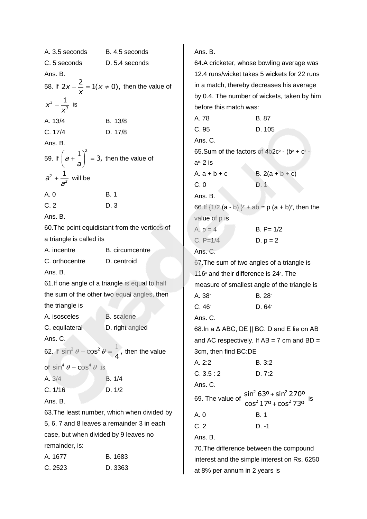| A. 3.5 seconds                                              | B. 4.5 seconds                                                        |  |
|-------------------------------------------------------------|-----------------------------------------------------------------------|--|
| C. 5 seconds                                                | D. 5.4 seconds                                                        |  |
| Ans. B.                                                     |                                                                       |  |
|                                                             | 58. If $2x - \frac{2}{x} = 1(x \neq 0)$ , then the value of           |  |
| $x^3 - \frac{1}{x^3}$ is                                    |                                                                       |  |
| A. 13/4                                                     | B. 13/8                                                               |  |
| C. 17/4                                                     | D. 17/8                                                               |  |
| Ans. B.                                                     |                                                                       |  |
| 59. If $\left(a+\frac{1}{a}\right)^2=3$ , then the value of |                                                                       |  |
| $a^2 + \frac{1}{a^2}$ will be                               |                                                                       |  |
| A. 0                                                        | B. 1                                                                  |  |
| C.2                                                         | D.3                                                                   |  |
| Ans. B.                                                     |                                                                       |  |
|                                                             | 60. The point equidistant from the vertices of                        |  |
| a triangle is called its                                    |                                                                       |  |
| A. incentre                                                 | B. circumcentre                                                       |  |
| C. orthocentre                                              | D. centroid                                                           |  |
| Ans. B.                                                     |                                                                       |  |
|                                                             | 61. If one angle of a triangle is equal to half                       |  |
|                                                             | the sum of the other two equal angles, then                           |  |
| the triangle is                                             |                                                                       |  |
| A. isosceles                                                | <b>B.</b> scalene                                                     |  |
| C. equilateral                                              | D. right angled                                                       |  |
| Ans. C.                                                     |                                                                       |  |
|                                                             | 62. If $\sin^2 \theta - \cos^2 \theta = \frac{1}{4}$ , then the value |  |
| of $\sin^4 \theta - \cos^4 \theta$ is                       |                                                                       |  |
| A. 3/4                                                      | B. 1/4                                                                |  |
| C. 1/16                                                     | D. 1/2                                                                |  |
| Ans. B.                                                     |                                                                       |  |
|                                                             | 63. The least number, which when divided by                           |  |
| 5, 6, 7 and 8 leaves a remainder 3 in each                  |                                                                       |  |
| case, but when divided by 9 leaves no                       |                                                                       |  |
| remainder, is:                                              |                                                                       |  |
| A. 1677                                                     | B. 1683                                                               |  |
| C. 2523                                                     | D. 3363                                                               |  |

Ans. B. 64.A cricketer, whose bowling average was 12.4 runs/wicket takes 5 wickets for 22 runs in a match, thereby decreases his average by 0.4. The number of wickets, taken by him before this match was: A. 78 B. 87 C. 95 D. 105 Ans. C. 65. Sum of the factors of  $4b2c^2 - (b^2 + c^2 - c^2)$ a B. 2 is A.  $a + b + c$  B.  $2(a + b + c)$ C. 0 D. 1 Ans. B. 66. If  $\{1/2$  (a - b)  $\}^2$  + ab = p (a + b)<sup>2</sup>, then the value of p is A.  $p = 4$  B. P= 1/2 C.  $P=1/4$  D.  $p = 2$ Ans. C. 67.The sum of two angles of a triangle is 116 $\degree$  and their difference is 24 $\degree$ . The measure of smallest angle of the triangle is A. 38° B. 28° C. 46° D. 64° Ans. C. 68.In a Δ ABC, DE || BC. D and E lie on AB and AC respectively. If  $AB = 7$  cm and  $BD =$ 3cm, then find BC:DE A. 2:2 B. 3:2  $C. 3.5 : 2$  D. 7:2 Ans. C. 69. The value of  $2630 + \sin^2$  $\frac{2}{2}$  1.70  $\sqrt{2}$  $\sin^2 63^o + \sin^2 270^o$  $\cos^2 17^{\circ} + \cos^2 73^{\circ}$  $^{+}$  $^{+}$ is A. 0 B. 1 C. 2 D. -1 Ans. B. 70.The difference between the compound interest and the simple interest on Rs. 6250

at 8% per annum in 2 years is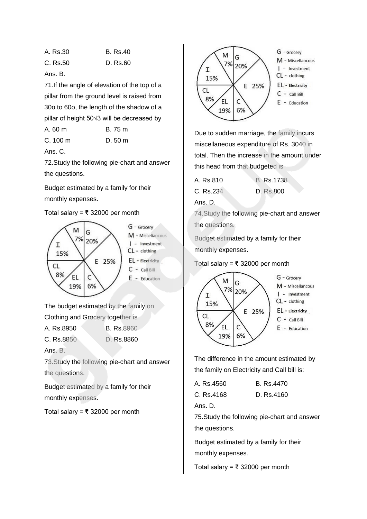| A. Rs.30 | <b>B.</b> Rs.40 |
|----------|-----------------|
| C. Rs.50 | D. Rs.60        |

Ans. B.

71.If the angle of elevation of the top of a pillar from the ground level is raised from 30o to 60o, the length of the shadow of a pillar of height 50√3 will be decreased by

| A. 60 m |  | B. 75 m |  |
|---------|--|---------|--|
|---------|--|---------|--|

| C. 100 m | D. 50 m |  |
|----------|---------|--|
|          |         |  |

Ans. C.

72.Study the following pie-chart and answer the questions.

Budget estimated by a family for their monthly expenses.

### Total salary = ₹ 32000 per month



The budget estimated by the family on

Clothing and Grocery together is

A. Rs.8950 B. Rs.8960

C. Rs.8850 D. Rs.8860

Ans. B.

73.Study the following pie-chart and answer the questions.

Budget estimated by a family for their monthly expenses.

Total salary = ₹ 32000 per month



Due to sudden marriage, the family incurs miscellaneous expenditure of Rs. 3040 in total. Then the increase in the amount under this head from that budgeted is

| A. Rs.810 | B. Rs.1738 |
|-----------|------------|
| C. Rs.234 | D. Rs.800  |

Ans. D.

74.Study the following pie-chart and answer the questions.

Budget estimated by a family for their monthly expenses.

#### Total salary = ₹ 32000 per month



The difference in the amount estimated by the family on Electricity and Call bill is:

| C. Rs.4168 | D. Rs.4160 |
|------------|------------|
|            |            |

Ans. D.

75.Study the following pie-chart and answer the questions.

Budget estimated by a family for their monthly expenses.

Total salary = ₹ 32000 per month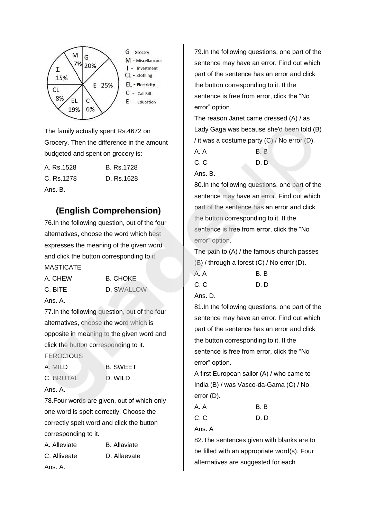

The family actually spent Rs.4672 on Grocery. Then the difference in the amount budgeted and spent on grocery is:

A. Rs.1528 B. Rs.1728 C. Rs.1278 D. Rs.1628 Ans. B.

## **(English Comprehension)**

76.In the following question, out of the four alternatives, choose the word which best expresses the meaning of the given word and click the button corresponding to it. MASTICATE

| A. CHEW | <b>B. CHOKE</b>   |
|---------|-------------------|
| C. BITE | <b>D. SWALLOW</b> |
| Ans. A. |                   |

77.In the following question, out of the four alternatives, choose the word which is opposite in meaning to the given word and click the button corresponding to it. **FEROCIOUS** 

| A. MILD          | <b>B. SWEET</b> |
|------------------|-----------------|
| <b>C.</b> BRUTAL | D. WILD         |

corresponding to it.

Ans. A.

78.Four words are given, out of which only one word is spelt correctly. Choose the correctly spelt word and click the button

| A. Alleviate | <b>B.</b> Allaviate |
|--------------|---------------------|
| C. Alliveate | D. Allaevate        |
| Ans. A.      |                     |

79.In the following questions, one part of the sentence may have an error. Find out which part of the sentence has an error and click the button corresponding to it. If the sentence is free from error, click the "No error" option.

The reason Janet came dressed (A) / as Lady Gaga was because she'd been told (B) / it was a costume party  $(C)$  / No error  $(D)$ .

A. A B. B

C. C D. D. D. D.

Ans. B.

80.In the following questions, one part of the sentence may have an error. Find out which part of the sentence has an error and click the button corresponding to it. If the sentence is free from error, click the "No error" option.

The path to (A) / the famous church passes (B) / through a forest (C) / No error (D).

| A. A | B.B |
|------|-----|
| C.C  | D.D |

Ans. D.

81.In the following questions, one part of the sentence may have an error. Find out which part of the sentence has an error and click the button corresponding to it. If the sentence is free from error, click the "No error" option.

A first European sailor (A) / who came to India (B) / was Vasco-da-Gama (C) / No error (D).

| A. A | B. B |
|------|------|
| C.C  | D. D |

Ans. A

82.The sentences given with blanks are to be filled with an appropriate word(s). Four alternatives are suggested for each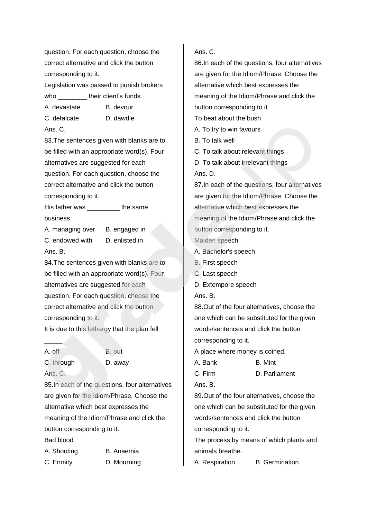question. For each question, choose the correct alternative and click the button corresponding to it.

Legislation was passed to punish brokers who **their client's funds.** 

A. devastate B. devour

C. defalcate D. dawdle

Ans. C.

83.The sentences given with blanks are to be filled with an appropriate word(s). Four alternatives are suggested for each question. For each question, choose the correct alternative and click the button corresponding to it.

His father was **the same** business.

A. managing over B. engaged in C. endowed with D. enlisted in Ans. B.

84.The sentences given with blanks are to be filled with an appropriate word(s). Four alternatives are suggested for each question. For each question, choose the correct alternative and click the button corresponding to it.

It is due to this lethargy that the plan fell

A. off B. out C. through D. away

Ans. C.

 $\overline{\phantom{a}}$ 

85.In each of the questions, four alternatives are given for the Idiom/Phrase. Choose the alternative which best expresses the meaning of the Idiom/Phrase and click the button corresponding to it.

Bad blood

A. Shooting B. Anaemia C. Enmity D. Mourning

### Ans. C.

86.In each of the questions, four alternatives are given for the Idiom/Phrase. Choose the alternative which best expresses the meaning of the Idiom/Phrase and click the button corresponding to it. To beat about the bush A. To try to win favours B. To talk well C. To talk about relevant things D. To talk about irrelevant things Ans. D. 87.In each of the questions, four alternatives are given for the Idiom/Phrase. Choose the alternative which best expresses the meaning of the Idiom/Phrase and click the button corresponding to it. Maiden speech A. Bachelor's speech B. First speech C. Last speech D. Extempore speech Ans. B. 88.Out of the four alternatives, choose the

one which can be substituted for the given words/sentences and click the button corresponding to it.

A place where money is coined.

A. Bank B. Mint

C. Firm D. Parliament

Ans. B.

89.Out of the four alternatives, choose the one which can be substituted for the given words/sentences and click the button corresponding to it.

The process by means of which plants and animals breathe.

A. Respiration B. Germination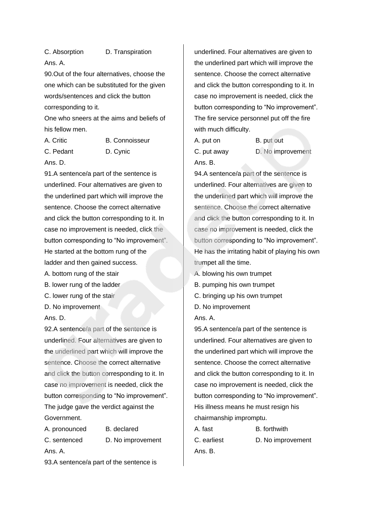C. Absorption D. Transpiration Ans. A.

90.Out of the four alternatives, choose the one which can be substituted for the given words/sentences and click the button corresponding to it.

One who sneers at the aims and beliefs of his fellow men.

C. Pedant D. Cynic

A. Critic B. Connoisseur

Ans. D.

91.A sentence/a part of the sentence is underlined. Four alternatives are given to the underlined part which will improve the sentence. Choose the correct alternative and click the button corresponding to it. In case no improvement is needed, click the button corresponding to "No improvement". He started at the bottom rung of the ladder and then gained success.

A. bottom rung of the stair

B. lower rung of the ladder

C. lower rung of the stair

D. No improvement

Ans. D.

92.A sentence/a part of the sentence is underlined. Four alternatives are given to the underlined part which will improve the sentence. Choose the correct alternative and click the button corresponding to it. In case no improvement is needed, click the button corresponding to "No improvement". The judge gave the verdict against the Government.

A. pronounced B. declared C. sentenced D. No improvement Ans. A.

93.A sentence/a part of the sentence is

underlined. Four alternatives are given to the underlined part which will improve the sentence. Choose the correct alternative and click the button corresponding to it. In case no improvement is needed, click the button corresponding to "No improvement". The fire service personnel put off the fire with much difficulty.

A. put on B. put out C. put away D. No improvement Ans. B.

94.A sentence/a part of the sentence is underlined. Four alternatives are given to the underlined part which will improve the sentence. Choose the correct alternative and click the button corresponding to it. In case no improvement is needed, click the button corresponding to "No improvement". He has the irritating habit of playing his own trumpet all the time.

A. blowing his own trumpet

- B. pumping his own trumpet
- C. bringing up his own trumpet
- D. No improvement

Ans. A.

95.A sentence/a part of the sentence is underlined. Four alternatives are given to the underlined part which will improve the sentence. Choose the correct alternative and click the button corresponding to it. In case no improvement is needed, click the button corresponding to "No improvement". His illness means he must resign his chairmanship impromptu.

A. fast B. forthwith C. earliest D. No improvement Ans. B.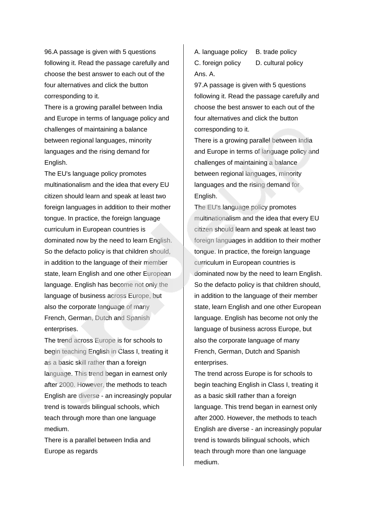96.A passage is given with 5 questions following it. Read the passage carefully and choose the best answer to each out of the four alternatives and click the button corresponding to it.

There is a growing parallel between India and Europe in terms of language policy and challenges of maintaining a balance between regional languages, minority languages and the rising demand for English.

The EU's language policy promotes multinationalism and the idea that every EU citizen should learn and speak at least two foreign languages in addition to their mother tongue. In practice, the foreign language curriculum in European countries is dominated now by the need to learn English. So the defacto policy is that children should, in addition to the language of their member state, learn English and one other European language. English has become not only the language of business across Europe, but also the corporate language of many French, German, Dutch and Spanish enterprises.

The trend across Europe is for schools to begin teaching English in Class I, treating it as a basic skill rather than a foreign language. This trend began in earnest only after 2000. However, the methods to teach English are diverse - an increasingly popular trend is towards bilingual schools, which teach through more than one language medium.

There is a parallel between India and Europe as regards

A. language policy B. trade policy C. foreign policy D. cultural policy Ans. A.

97.A passage is given with 5 questions following it. Read the passage carefully and choose the best answer to each out of the four alternatives and click the button corresponding to it.

There is a growing parallel between India and Europe in terms of language policy and challenges of maintaining a balance between regional languages, minority languages and the rising demand for English.

The EU's language policy promotes multinationalism and the idea that every EU citizen should learn and speak at least two foreign languages in addition to their mother tongue. In practice, the foreign language curriculum in European countries is dominated now by the need to learn English. So the defacto policy is that children should, in addition to the language of their member state, learn English and one other European language. English has become not only the language of business across Europe, but also the corporate language of many French, German, Dutch and Spanish enterprises.

The trend across Europe is for schools to begin teaching English in Class I, treating it as a basic skill rather than a foreign language. This trend began in earnest only after 2000. However, the methods to teach English are diverse - an increasingly popular trend is towards bilingual schools, which teach through more than one language medium.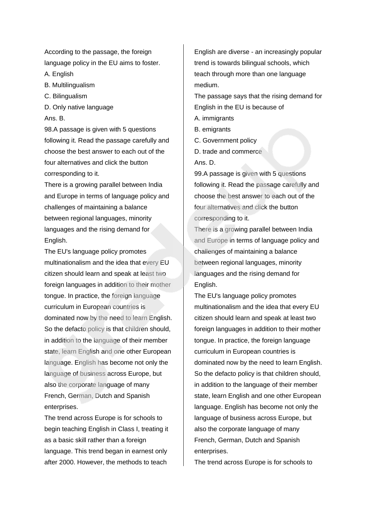According to the passage, the foreign language policy in the EU aims to foster.

A. English

- B. Multilingualism
- C. Bilingualism
- D. Only native language
- Ans. B.

98.A passage is given with 5 questions following it. Read the passage carefully and choose the best answer to each out of the four alternatives and click the button corresponding to it.

There is a growing parallel between India and Europe in terms of language policy and challenges of maintaining a balance between regional languages, minority languages and the rising demand for English.

The EU's language policy promotes multinationalism and the idea that every EU citizen should learn and speak at least two foreign languages in addition to their mother tongue. In practice, the foreign language curriculum in European countries is dominated now by the need to learn English. So the defacto policy is that children should, in addition to the language of their member state, learn English and one other European language. English has become not only the language of business across Europe, but also the corporate language of many French, German, Dutch and Spanish enterprises.

The trend across Europe is for schools to begin teaching English in Class I, treating it as a basic skill rather than a foreign language. This trend began in earnest only after 2000. However, the methods to teach

English are diverse - an increasingly popular trend is towards bilingual schools, which teach through more than one language medium.

The passage says that the rising demand for English in the EU is because of

- A. immigrants
- B. emigrants
- C. Government policy
- D. trade and commerce
- Ans. D.

99.A passage is given with 5 questions following it. Read the passage carefully and choose the best answer to each out of the four alternatives and click the button corresponding to it.

There is a growing parallel between India and Europe in terms of language policy and challenges of maintaining a balance between regional languages, minority languages and the rising demand for English.

The EU's language policy promotes multinationalism and the idea that every EU citizen should learn and speak at least two foreign languages in addition to their mother tongue. In practice, the foreign language curriculum in European countries is dominated now by the need to learn English. So the defacto policy is that children should, in addition to the language of their member state, learn English and one other European language. English has become not only the language of business across Europe, but also the corporate language of many French, German, Dutch and Spanish enterprises.

The trend across Europe is for schools to